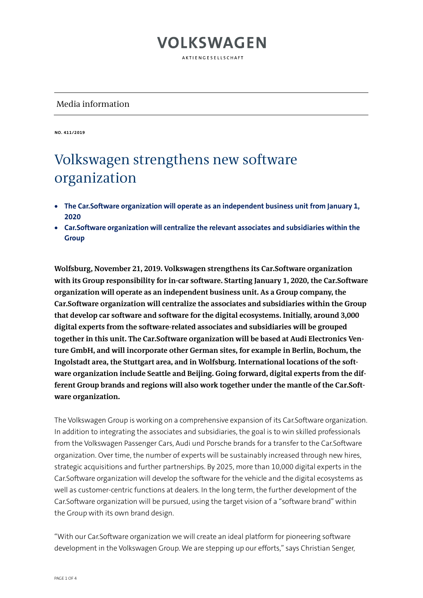AKTIFNGFSFLISCHAFT

### Media information

**NO. 411/2019**

### Volkswagen strengthens new software organization

- **The Car.Software organization will operate as an independent business unit from January 1, 2020**
- **Car.Software organization will centralize the relevant associates and subsidiaries within the Group**

**Wolfsburg, November 21, 2019. Volkswagen strengthens its Car.Software organization with its Group responsibility for in-car software. Starting January 1, 2020, the Car.Software organization will operate as an independent business unit. As a Group company, the Car.Software organization will centralize the associates and subsidiaries within the Group that develop car software and software for the digital ecosystems. Initially, around 3,000 digital experts from the software-related associates and subsidiaries will be grouped together in this unit. The Car.Software organization will be based at Audi Electronics Venture GmbH, and will incorporate other German sites, for example in Berlin, Bochum, the Ingolstadt area, the Stuttgart area, and in Wolfsburg. International locations of the software organization include Seattle and Beijing. Going forward, digital experts from the different Group brands and regions will also work together under the mantle of the Car.Software organization.**

The Volkswagen Group is working on a comprehensive expansion of its Car.Software organization. In addition to integrating the associates and subsidiaries, the goal is to win skilled professionals from the Volkswagen Passenger Cars, Audi und Porsche brands for a transfer to the Car.Software organization. Over time, the number of experts will be sustainably increased through new hires, strategic acquisitions and further partnerships. By 2025, more than 10,000 digital experts in the Car.Software organization will develop the software for the vehicle and the digital ecosystems as well as customer-centric functions at dealers. In the long term, the further development of the Car.Software organization will be pursued, using the target vision of a "software brand" within the Group with its own brand design.

"With our Car.Software organization we will create an ideal platform for pioneering software development in the Volkswagen Group. We are stepping up our efforts," says Christian Senger,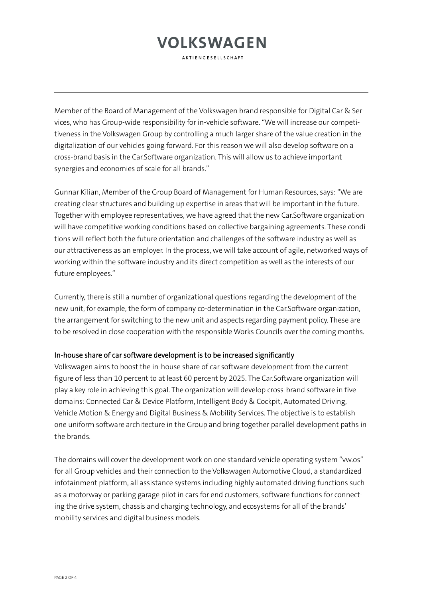AKTIFNGFSFLISCHAFT

Member of the Board of Management of the Volkswagen brand responsible for Digital Car & Services, who has Group-wide responsibility for in-vehicle software. "We will increase our competitiveness in the Volkswagen Group by controlling a much larger share of the value creation in the digitalization of our vehicles going forward. For this reason we will also develop software on a cross-brand basis in the Car.Software organization. This will allow us to achieve important synergies and economies of scale for all brands."

Gunnar Kilian, Member of the Group Board of Management for Human Resources, says: "We are creating clear structures and building up expertise in areas that will be important in the future. Together with employee representatives, we have agreed that the new Car.Software organization will have competitive working conditions based on collective bargaining agreements. These conditions will reflect both the future orientation and challenges of the software industry as well as our attractiveness as an employer. In the process, we will take account of agile, networked ways of working within the software industry and its direct competition as well as the interests of our future employees."

Currently, there is still a number of organizational questions regarding the development of the new unit, for example, the form of company co-determination in the Car.Software organization, the arrangement for switching to the new unit and aspects regarding payment policy. These are to be resolved in close cooperation with the responsible Works Councils over the coming months.

#### In-house share of car software development is to be increased significantly

Volkswagen aims to boost the in-house share of car software development from the current figure of less than 10 percent to at least 60 percent by 2025. The Car.Software organization will play a key role in achieving this goal. The organization will develop cross-brand software in five domains: Connected Car & Device Platform, Intelligent Body & Cockpit, Automated Driving, Vehicle Motion & Energy and Digital Business & Mobility Services. The objective is to establish one uniform software architecture in the Group and bring together parallel development paths in the brands.

The domains will cover the development work on one standard vehicle operating system "vw.os" for all Group vehicles and their connection to the Volkswagen Automotive Cloud, a standardized infotainment platform, all assistance systems including highly automated driving functions such as a motorway or parking garage pilot in cars for end customers, software functions for connecting the drive system, chassis and charging technology, and ecosystems for all of the brands' mobility services and digital business models.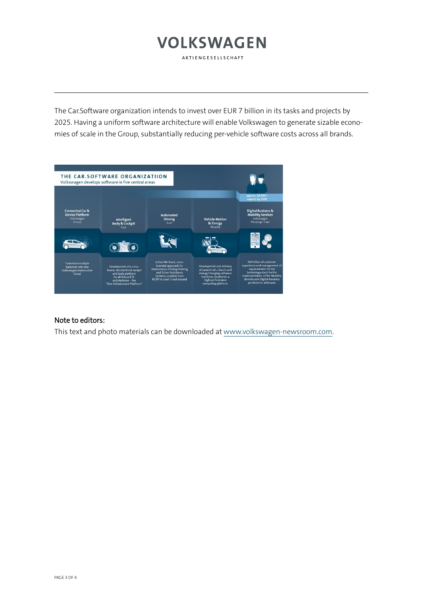AKTIENGESELLSCHAFT

The Car.Software organization intends to invest over EUR 7 billion in its tasks and projects by 2025. Having a uniform software architecture will enable Volkswagen to generate sizable economies of scale in the Group, substantially reducing per-vehicle software costs across all brands.

|                                                                                         | THE CAR.SOFTWARE ORGANIZATIION<br>Volkswagen develops software in five central areas                                                                     |                                                                                                                                                                      |                                                                                                                                                         |                                                                                                                                                                                                                  |
|-----------------------------------------------------------------------------------------|----------------------------------------------------------------------------------------------------------------------------------------------------------|----------------------------------------------------------------------------------------------------------------------------------------------------------------------|---------------------------------------------------------------------------------------------------------------------------------------------------------|------------------------------------------------------------------------------------------------------------------------------------------------------------------------------------------------------------------|
| <b>Connected Car &amp;</b><br><b>Device Platform</b><br>Volkswagen<br>Group             | <b>Intelligent</b><br><b>Body &amp; Cockpit</b><br>Audi                                                                                                  | <b>Automated</b><br><b>Driving</b><br>Audi                                                                                                                           | <b>Vehicle Motion</b><br>& Energy<br>Porsche                                                                                                            | approx. 10,000+<br>experts by 2025<br><b>Digital Business &amp;</b><br><b>Mobility Services</b><br>Volkswagen<br>Passenger Cars                                                                                  |
| 000000101000                                                                            | 6)                                                                                                                                                       |                                                                                                                                                                      |                                                                                                                                                         | $\bullet$                                                                                                                                                                                                        |
| <b>Transform multiple</b><br><b>Backends into One</b><br>Volkswagen Automotive<br>Cloud | Development of a cross-<br>brand, standardized cockpit<br>and body platform<br>for all future E/E-<br>architectures - the<br>"One Infotainment Platform" | A One SW-Stack, cross-<br>branded approach for<br><b>Autonomous Driving/Parking</b><br>and Driver Assistance<br>Systems, scalable from<br>NCAP to Level 3 and beyond | Development and delivery<br>of powertrain, chassis and<br>energy/charging software<br>functions, located on a<br>high performance<br>computing platform | Definition of customer<br>experience and management of<br>requirements for the<br>technology stack for the<br>implementation of the Mobility<br><b>Servcies and Digital Business</b><br>portfolio for all brands |

#### Note to editors:

This text and photo materials can be downloaded a[t www.volkswagen-newsroom.com.](http://www.volkswagen-newsroom.com/)